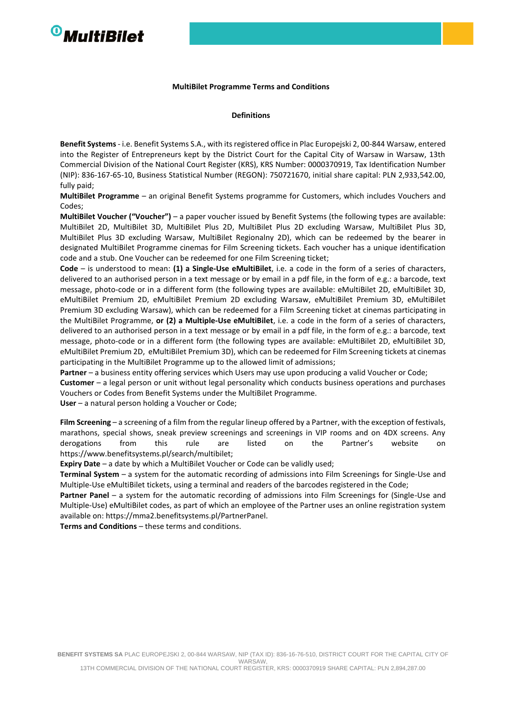# <sup>O</sup>MultiBilet

#### **MultiBilet Programme Terms and Conditions**

#### **Definitions**

**Benefit Systems**- i.e. Benefit Systems S.A., with its registered office in Plac Europejski 2, 00-844 Warsaw, entered into the Register of Entrepreneurs kept by the District Court for the Capital City of Warsaw in Warsaw, 13th Commercial Division of the National Court Register (KRS), KRS Number: 0000370919, Tax Identification Number (NIP): 836-167-65-10, Business Statistical Number (REGON): 750721670, initial share capital: PLN 2,933,542.00, fully paid;

**MultiBilet Programme** – an original Benefit Systems programme for Customers, which includes Vouchers and Codes;

**MultiBilet Voucher ("Voucher")** – a paper voucher issued by Benefit Systems (the following types are available: MultiBilet 2D, MultiBilet 3D, MultiBilet Plus 2D, MultiBilet Plus 2D excluding Warsaw, MultiBilet Plus 3D, MultiBilet Plus 3D excluding Warsaw, MultiBilet Regionalny 2D), which can be redeemed by the bearer in designated MultiBilet Programme cinemas for Film Screening tickets. Each voucher has a unique identification code and a stub. One Voucher can be redeemed for one Film Screening ticket;

**Code** – is understood to mean: **(1) a Single-Use eMultiBilet**, i.e. a code in the form of a series of characters, delivered to an authorised person in a text message or by email in a pdf file, in the form of e.g.: a barcode, text message, photo-code or in a different form (the following types are available: eMultiBilet 2D, eMultiBilet 3D, eMultiBilet Premium 2D, eMultiBilet Premium 2D excluding Warsaw, eMultiBilet Premium 3D, eMultiBilet Premium 3D excluding Warsaw), which can be redeemed for a Film Screening ticket at cinemas participating in the MultiBilet Programme, **or (2) a Multiple-Use eMultiBilet**, i.e. a code in the form of a series of characters, delivered to an authorised person in a text message or by email in a pdf file, in the form of e.g.: a barcode, text message, photo-code or in a different form (the following types are available: eMultiBilet 2D, eMultiBilet 3D, eMultiBilet Premium 2D, eMultiBilet Premium 3D), which can be redeemed for Film Screening tickets at cinemas participating in the MultiBilet Programme up to the allowed limit of admissions;

**Partner** – a business entity offering services which Users may use upon producing a valid Voucher or Code;

**Customer** – a legal person or unit without legal personality which conducts business operations and purchases Vouchers or Codes from Benefit Systems under the MultiBilet Programme.

**User** – a natural person holding a Voucher or Code;

**Film Screening** – a screening of a film from the regular lineup offered by a Partner, with the exception of festivals, marathons, special shows, sneak preview screenings and screenings in VIP rooms and on 4DX screens. Any derogations from this rule are listed on the Partner's website on https:/[/www.benefitsystems.pl/search/multibilet;](http://www.benefitsystems.pl/search/multibilet%3B)

**Expiry Date** – a date by which a MultiBilet Voucher or Code can be validly used;

**Terminal System** – a system for the automatic recording of admissions into Film Screenings for Single-Use and Multiple-Use eMultiBilet tickets, using a terminal and readers of the barcodes registered in the Code;

**Partner Panel** – a system for the automatic recording of admissions into Film Screenings for (Single-Use and Multiple-Use) eMultiBilet codes, as part of which an employee of the Partner uses an online registration system available on: https://mma2.benefitsystems.pl/PartnerPanel.

**Terms and Conditions** – these terms and conditions.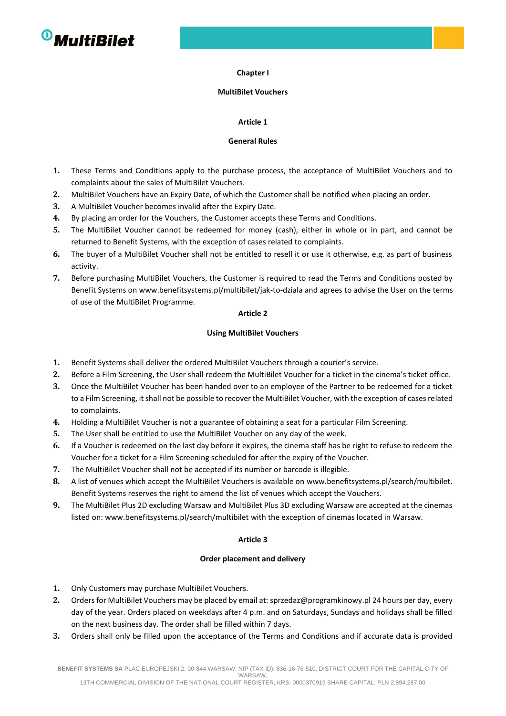

#### **Chapter I**

#### **MultiBilet Vouchers**

## **Article 1**

#### **General Rules**

- **1.** These Terms and Conditions apply to the purchase process, the acceptance of MultiBilet Vouchers and to complaints about the sales of MultiBilet Vouchers.
- **2.** MultiBilet Vouchers have an Expiry Date, of which the Customer shall be notified when placing an order.
- **3.** A MultiBilet Voucher becomes invalid after the Expiry Date.
- **4.** By placing an order for the Vouchers, the Customer accepts these Terms and Conditions.
- **5.** The MultiBilet Voucher cannot be redeemed for money (cash), either in whole or in part, and cannot be returned to Benefit Systems, with the exception of cases related to complaints.
- **6.** The buyer of a MultiBilet Voucher shall not be entitled to resell it or use it otherwise, e.g. as part of business activity.
- **7.** Before purchasing MultiBilet Vouchers, the Customer is required to read the Terms and Conditions posted by Benefit Systems o[n www.benefitsystems.pl/multibilet/jak-to-dziala](http://www.benefitsystems.pl/multibilet/jak-to-dziala) and agrees to advise the User on the terms of use of the MultiBilet Programme.

## **Article 2**

## **Using MultiBilet Vouchers**

- **1.** Benefit Systems shall deliver the ordered MultiBilet Vouchers through a courier's service.
- **2.** Before a Film Screening, the User shall redeem the MultiBilet Voucher for a ticket in the cinema's ticket office.
- **3.** Once the MultiBilet Voucher has been handed over to an employee of the Partner to be redeemed for a ticket to a Film Screening, it shall not be possible to recover the MultiBilet Voucher, with the exception of cases related to complaints.
- **4.** Holding a MultiBilet Voucher is not a guarantee of obtaining a seat for a particular Film Screening.
- **5.** The User shall be entitled to use the MultiBilet Voucher on any day of the week.
- **6.** If a Voucher is redeemed on the last day before it expires, the cinema staff has be right to refuse to redeem the Voucher for a ticket for a Film Screening scheduled for after the expiry of the Voucher.
- **7.** The MultiBilet Voucher shall not be accepted if its number or barcode is illegible.
- **8.** A list of venues which accept the MultiBilet Vouchers is available o[n www.benefitsystems.pl/search/multibilet.](http://www.benefitsystems.pl/search/multibilet) Benefit Systems reserves the right to amend the list of venues which accept the Vouchers.
- **9.** The MultiBilet Plus 2D excluding Warsaw and MultiBilet Plus 3D excluding Warsaw are accepted at the cinemas listed on[: www.benefitsystems.pl/search/multibilet](http://www.benefitsystems.pl/search/multibilet) with the exception of cinemas located in Warsaw.

## **Article 3**

## **Order placement and delivery**

- **1.** Only Customers may purchase MultiBilet Vouchers.
- **2.** Orders for MultiBilet Vouchers may be placed by email at: [sprzedaz@programkinowy.pl](mailto:sprzedaz@programkinowy.pl) 24 hours per day, every day of the year. Orders placed on weekdays after 4 p.m. and on Saturdays, Sundays and holidays shall be filled on the next business day. The order shall be filled within 7 days.
- **3.** Orders shall only be filled upon the acceptance of the Terms and Conditions and if accurate data is provided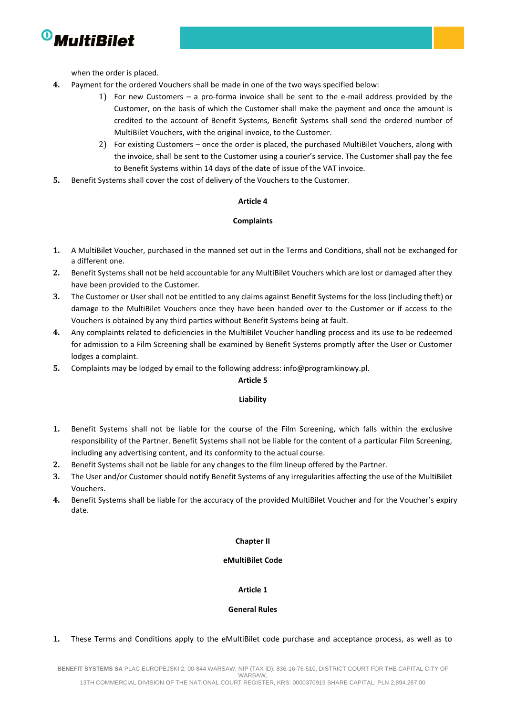

when the order is placed.

- **4.** Payment for the ordered Vouchers shall be made in one of the two ways specified below:
	- 1) For new Customers a pro-forma invoice shall be sent to the e-mail address provided by the Customer, on the basis of which the Customer shall make the payment and once the amount is credited to the account of Benefit Systems, Benefit Systems shall send the ordered number of MultiBilet Vouchers, with the original invoice, to the Customer.
	- 2) For existing Customers once the order is placed, the purchased MultiBilet Vouchers, along with the invoice, shall be sent to the Customer using a courier's service. The Customer shall pay the fee to Benefit Systems within 14 days of the date of issue of the VAT invoice.
- **5.** Benefit Systems shall cover the cost of delivery of the Vouchers to the Customer.

## **Article 4**

## **Complaints**

- **1.** A MultiBilet Voucher, purchased in the manned set out in the Terms and Conditions, shall not be exchanged for a different one.
- **2.** Benefit Systems shall not be held accountable for any MultiBilet Vouchers which are lost or damaged after they have been provided to the Customer.
- **3.** The Customer or User shall not be entitled to any claims against Benefit Systems for the loss (including theft) or damage to the MultiBilet Vouchers once they have been handed over to the Customer or if access to the Vouchers is obtained by any third parties without Benefit Systems being at fault.
- **4.** Any complaints related to deficiencies in the MultiBilet Voucher handling process and its use to be redeemed for admission to a Film Screening shall be examined by Benefit Systems promptly after the User or Customer lodges a complaint.
- **5.** Complaints may be lodged by email to the following address[: info@programkinowy.pl.](mailto:info@programkinowy.pl)

## **Article 5**

## **Liability**

- **1.** Benefit Systems shall not be liable for the course of the Film Screening, which falls within the exclusive responsibility of the Partner. Benefit Systems shall not be liable for the content of a particular Film Screening, including any advertising content, and its conformity to the actual course.
- **2.** Benefit Systems shall not be liable for any changes to the film lineup offered by the Partner.
- **3.** The User and/or Customer should notify Benefit Systems of any irregularities affecting the use of the MultiBilet Vouchers.
- **4.** Benefit Systems shall be liable for the accuracy of the provided MultiBilet Voucher and for the Voucher's expiry date.

## **Chapter II**

## **eMultiBilet Code**

## **Article 1**

## **General Rules**

## **1.** These Terms and Conditions apply to the eMultiBilet code purchase and acceptance process, as well as to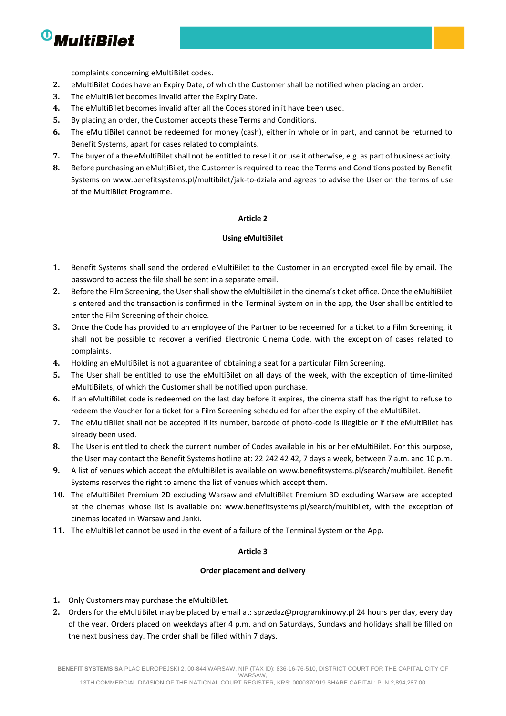

complaints concerning eMultiBilet codes.

- **2.** eMultiBilet Codes have an Expiry Date, of which the Customer shall be notified when placing an order.
- **3.** The eMultiBilet becomes invalid after the Expiry Date.
- **4.** The eMultiBilet becomes invalid after all the Codes stored in it have been used.
- **5.** By placing an order, the Customer accepts these Terms and Conditions.
- **6.** The eMultiBilet cannot be redeemed for money (cash), either in whole or in part, and cannot be returned to Benefit Systems, apart for cases related to complaints.
- **7.** The buyer of a the eMultiBilet shall not be entitled to resell it or use it otherwise, e.g. as part of business activity.
- **8.** Before purchasing an eMultiBilet, the Customer is required to read the Terms and Conditions posted by Benefit Systems on [www.benefitsystems.pl/multibilet/jak-to-dziala](http://www.benefitsystems.pl/multibilet/jak-to-dziala) and agrees to advise the User on the terms of use of the MultiBilet Programme.

## **Article 2**

## **Using eMultiBilet**

- **1.** Benefit Systems shall send the ordered eMultiBilet to the Customer in an encrypted excel file by email. The password to access the file shall be sent in a separate email.
- **2.** Before the Film Screening, the User shall show the eMultiBilet in the cinema's ticket office. Once the eMultiBilet is entered and the transaction is confirmed in the Terminal System on in the app, the User shall be entitled to enter the Film Screening of their choice.
- **3.** Once the Code has provided to an employee of the Partner to be redeemed for a ticket to a Film Screening, it shall not be possible to recover a verified Electronic Cinema Code, with the exception of cases related to complaints.
- **4.** Holding an eMultiBilet is not a guarantee of obtaining a seat for a particular Film Screening.
- **5.** The User shall be entitled to use the eMultiBilet on all days of the week, with the exception of time-limited eMultiBilets, of which the Customer shall be notified upon purchase.
- **6.** If an eMultiBilet code is redeemed on the last day before it expires, the cinema staff has the right to refuse to redeem the Voucher for a ticket for a Film Screening scheduled for after the expiry of the eMultiBilet.
- **7.** The eMultiBilet shall not be accepted if its number, barcode of photo-code is illegible or if the eMultiBilet has already been used.
- **8.** The User is entitled to check the current number of Codes available in his or her eMultiBilet. For this purpose, the User may contact the Benefit Systems hotline at: 22 242 42 42, 7 days a week, between 7 a.m. and 10 p.m.
- **9.** A list of venues which accept the eMultiBilet is available on [www.benefitsystems.pl/search/multibilet.](http://www.benefitsystems.pl/search/multibilet) Benefit Systems reserves the right to amend the list of venues which accept them.
- **10.** The eMultiBilet Premium 2D excluding Warsaw and eMultiBilet Premium 3D excluding Warsaw are accepted at the cinemas whose list is available on: www.benefitsystems.pl/search/multibilet, with the exception of cinemas located in Warsaw and Janki.
- **11.** The eMultiBilet cannot be used in the event of a failure of the Terminal System or the App.

## **Article 3**

## **Order placement and delivery**

- **1.** Only Customers may purchase the eMultiBilet.
- **2.** Orders for the eMultiBilet may be placed by email at: [sprzedaz@programkinowy.pl](mailto:sprzedaz@programkinowy.pl) 24 hours per day, every day of the year. Orders placed on weekdays after 4 p.m. and on Saturdays, Sundays and holidays shall be filled on the next business day. The order shall be filled within 7 days.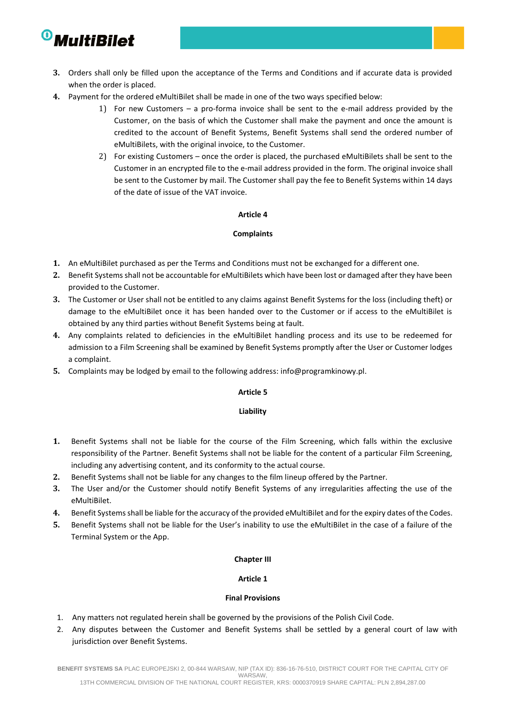

- **3.** Orders shall only be filled upon the acceptance of the Terms and Conditions and if accurate data is provided when the order is placed.
- **4.** Payment for the ordered eMultiBilet shall be made in one of the two ways specified below:
	- 1) For new Customers a pro-forma invoice shall be sent to the e-mail address provided by the Customer, on the basis of which the Customer shall make the payment and once the amount is credited to the account of Benefit Systems, Benefit Systems shall send the ordered number of eMultiBilets, with the original invoice, to the Customer.
	- 2) For existing Customers once the order is placed, the purchased eMultiBilets shall be sent to the Customer in an encrypted file to the e-mail address provided in the form. The original invoice shall be sent to the Customer by mail. The Customer shall pay the fee to Benefit Systems within 14 days of the date of issue of the VAT invoice.

## **Article 4**

## **Complaints**

- **1.** An eMultiBilet purchased as per the Terms and Conditions must not be exchanged for a different one.
- **2.** Benefit Systems shall not be accountable for eMultiBilets which have been lost or damaged after they have been provided to the Customer.
- **3.** The Customer or User shall not be entitled to any claims against Benefit Systems for the loss (including theft) or damage to the eMultiBilet once it has been handed over to the Customer or if access to the eMultiBilet is obtained by any third parties without Benefit Systems being at fault.
- **4.** Any complaints related to deficiencies in the eMultiBilet handling process and its use to be redeemed for admission to a Film Screening shall be examined by Benefit Systems promptly after the User or Customer lodges a complaint.
- **5.** Complaints may be lodged by email to the following address: [info@programkinowy.pl.](mailto:info@programkinowy.pl)

## **Article 5**

## **Liability**

- **1.** Benefit Systems shall not be liable for the course of the Film Screening, which falls within the exclusive responsibility of the Partner. Benefit Systems shall not be liable for the content of a particular Film Screening, including any advertising content, and its conformity to the actual course.
- **2.** Benefit Systems shall not be liable for any changes to the film lineup offered by the Partner.
- **3.** The User and/or the Customer should notify Benefit Systems of any irregularities affecting the use of the eMultiBilet.
- **4.** Benefit Systems shall be liable for the accuracy of the provided eMultiBilet and for the expiry dates of the Codes.
- **5.** Benefit Systems shall not be liable for the User's inability to use the eMultiBilet in the case of a failure of the Terminal System or the App.

## **Chapter III**

## **Article 1**

## **Final Provisions**

- 1. Any matters not regulated herein shall be governed by the provisions of the Polish Civil Code.
- 2. Any disputes between the Customer and Benefit Systems shall be settled by a general court of law with jurisdiction over Benefit Systems.